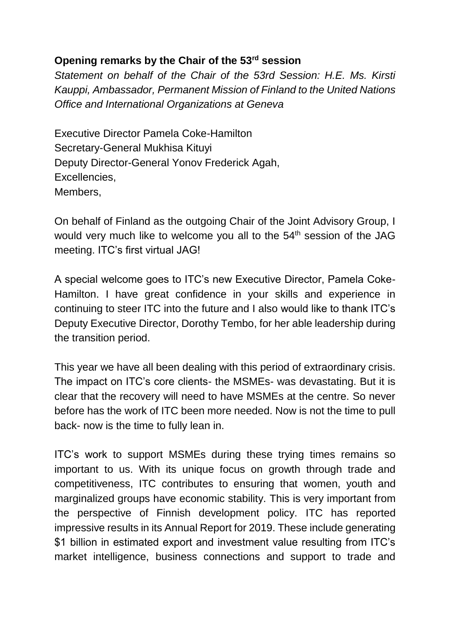## **Opening remarks by the Chair of the 53rd session**

*Statement on behalf of the Chair of the 53rd Session: H.E. Ms. Kirsti Kauppi, Ambassador, Permanent Mission of Finland to the United Nations Office and International Organizations at Geneva*

Executive Director Pamela Coke-Hamilton Secretary-General Mukhisa Kituyi Deputy Director-General Yonov Frederick Agah, Excellencies, Members,

On behalf of Finland as the outgoing Chair of the Joint Advisory Group, I would very much like to welcome you all to the 54<sup>th</sup> session of the JAG meeting. ITC's first virtual JAG!

A special welcome goes to ITC's new Executive Director, Pamela Coke-Hamilton. I have great confidence in your skills and experience in continuing to steer ITC into the future and I also would like to thank ITC's Deputy Executive Director, Dorothy Tembo, for her able leadership during the transition period.

This year we have all been dealing with this period of extraordinary crisis. The impact on ITC's core clients- the MSMEs- was devastating. But it is clear that the recovery will need to have MSMEs at the centre. So never before has the work of ITC been more needed. Now is not the time to pull back- now is the time to fully lean in.

ITC's work to support MSMEs during these trying times remains so important to us. With its unique focus on growth through trade and competitiveness, ITC contributes to ensuring that women, youth and marginalized groups have economic stability. This is very important from the perspective of Finnish development policy. ITC has reported impressive results in its Annual Report for 2019. These include generating \$1 billion in estimated export and investment value resulting from ITC's market intelligence, business connections and support to trade and